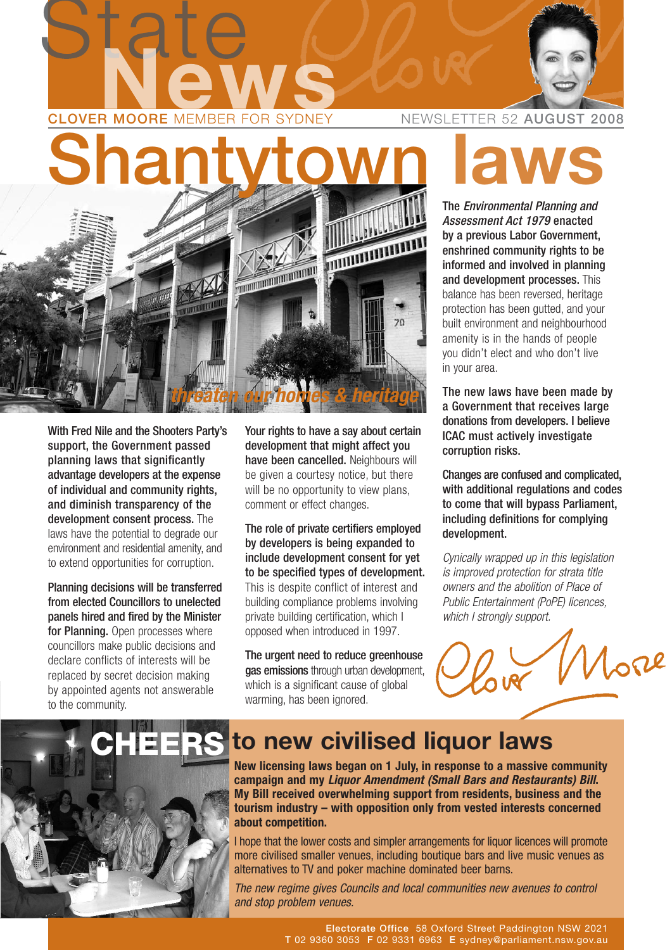

With Fred Nile and the Shooters Party's support, the Government passed planning laws that significantly advantage developers at the expense of individual and community rights, and diminish transparency of the development consent process. The laws have the potential to degrade our environment and residential amenity, and to extend opportunities for corruption.

Planning decisions will be transferred from elected Councillors to unelected panels hired and fired by the Minister for Planning. Open processes where councillors make public decisions and declare conflicts of interests will be replaced by secret decision making by appointed agents not answerable to the community.

Your rights to have a say about certain development that might affect you have been cancelled. Neighbours will be given a courtesy notice, but there will be no opportunity to view plans, comment or effect changes.

The role of private certifiers employed by developers is being expanded to include development consent for yet to be specified types of development. This is despite conflict of interest and building compliance problems involving private building certification, which I opposed when introduced in 1997.

The urgent need to reduce greenhouse gas emissions through urban development, which is a significant cause of global warming, has been ignored.

The Environmental Planning and Assessment Act 1979 enacted by a previous Labor Government, enshrined community rights to be informed and involved in planning and development processes. This balance has been reversed, heritage protection has been gutted, and your built environment and neighbourhood amenity is in the hands of people you didn't elect and who don't live in your area.

The new laws have been made by a Government that receives large donations from developers. I believe ICAC must actively investigate corruption risks.

Changes are confused and complicated, with additional regulations and codes to come that will bypass Parliament, including definitions for complying development.

Cynically wrapped up in this legislation is improved protection for strata title owners and the abolition of Place of Public Entertainment (PoPE) licences, which I strongly support.





#### **to new civilised liquor laws**

**New licensing laws began on 1 July, in response to a massive community campaign and my Liquor Amendment (Small Bars and Restaurants) Bill. My Bill received overwhelming support from residents, business and the tourism industry – with opposition only from vested interests concerned about competition.**

I hope that the lower costs and simpler arrangements for liquor licences will promote more civilised smaller venues, including boutique bars and live music venues as alternatives to TV and poker machine dominated beer barns.

The new regime gives Councils and local communities new avenues to control and stop problem venues.

> Electorate Office 58 Oxford Street Paddington NSW 2021 T 02 9360 3053 F 02 9331 6963 E sydney@parliament.nsw.gov.au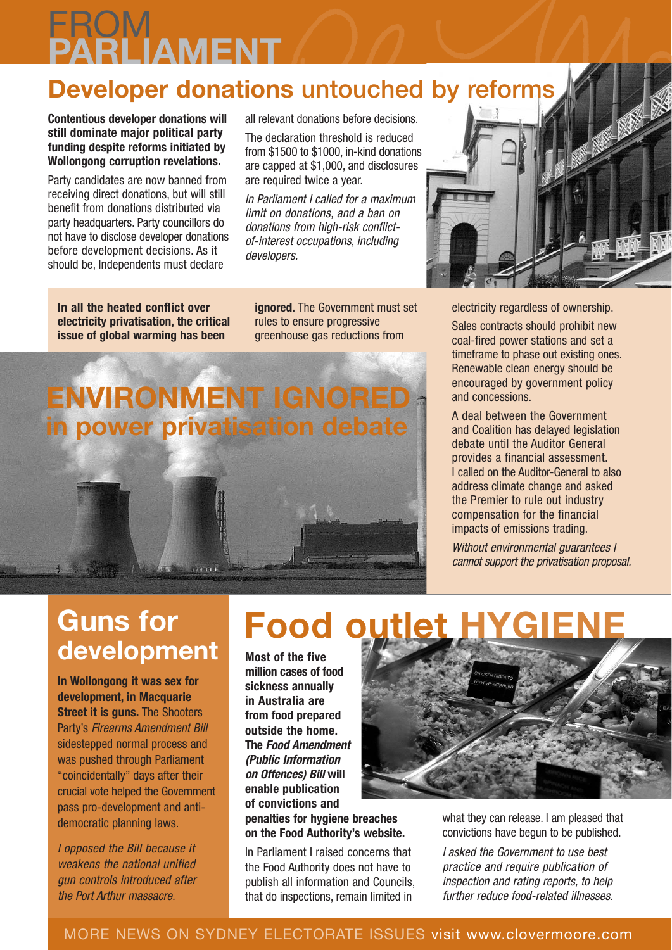#### **FROM PARLIAMENT**

#### **Developer donations** untouched by reforms

**Contentious developer donations will still dominate major political party funding despite reforms initiated by Wollongong corruption revelations.**

Party candidates are now banned from receiving direct donations, but will still benefit from donations distributed via party headquarters. Party councillors do not have to disclose developer donations before development decisions. As it should be, Independents must declare

all relevant donations before decisions.

The declaration threshold is reduced from \$1500 to \$1000, in-kind donations are capped at \$1,000, and disclosures are required twice a year.

In Parliament I called for a maximum limit on donations, and a ban on donations from high-risk conflictof-interest occupations, including developers.

**In all the heated conflict over electricity privatisation, the critical issue of global warming has been**

**ignored.** The Government must set rules to ensure progressive greenhouse gas reductions from

#### **ENVIRONMENT IGNORED in power privatisation debate**

 $\overline{\phantom{a}}$ 

electricity regardless of ownership.

Sales contracts should prohibit new coal-fired power stations and set a timeframe to phase out existing ones. Renewable clean energy should be encouraged by government policy and concessions.

A deal between the Government and Coalition has delayed legislation debate until the Auditor General provides a financial assessment. I called on the Auditor-General to also address climate change and asked the Premier to rule out industry compensation for the financial impacts of emissions trading.

Without environmental quarantees I cannot support the privatisation proposal.

#### **Guns for development**

**In Wollongong it was sex for development, in Macquarie Street it is guns.** The Shooters Party's Firearms Amendment Bill sidestepped normal process and was pushed through Parliament "coincidentally" days after their crucial vote helped the Government pass pro-development and antidemocratic planning laws.

I opposed the Bill because it weakens the national unified gun controls introduced after the Port Arthur massacre.

#### **Food outlet**

**Most of the five million cases of food sickness annually in Australia are from food prepared outside the home. The Food Amendment (Public Information on Offences) Bill will enable publication of convictions and**

**penalties for hygiene breaches on the Food Authority's website.**

In Parliament I raised concerns that the Food Authority does not have to publish all information and Councils, that do inspections, remain limited in



what they can release. I am pleased that convictions have begun to be published.

I asked the Government to use best practice and require publication of inspection and rating reports, to help further reduce food-related illnesses.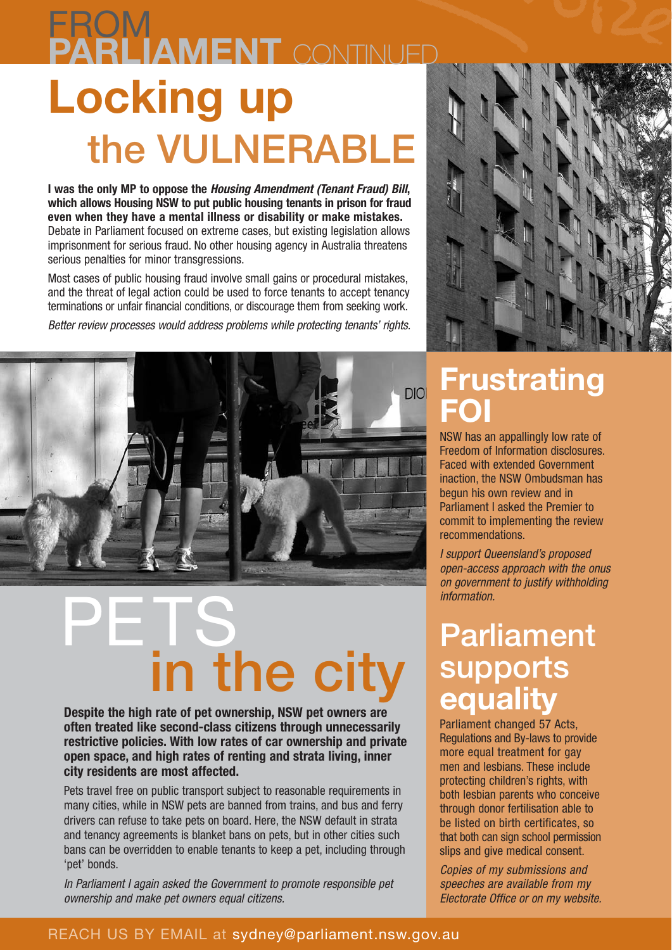#### **Locking up** the VULNERABLE **FROM PARLIAMENT** CONTINUED

**I was the only MP to oppose the Housing Amendment (Tenant Fraud) Bill, which allows Housing NSW to put public housing tenants in prison for fraud even when they have a mental illness or disability or make mistakes.** Debate in Parliament focused on extreme cases, but existing legislation allows imprisonment for serious fraud. No other housing agency in Australia threatens serious penalties for minor transgressions.

Most cases of public housing fraud involve small gains or procedural mistakes, and the threat of legal action could be used to force tenants to accept tenancy terminations or unfair financial conditions, or discourage them from seeking work.

Better review processes would address problems while protecting tenants' rights.



## PETS<sub>.</sub> in the city

**Despite the high rate of pet ownership, NSW pet owners are often treated like second-class citizens through unnecessarily restrictive policies. With low rates of car ownership and private open space, and high rates of renting and strata living, inner city residents are most affected.**

Pets travel free on public transport subject to reasonable requirements in many cities, while in NSW pets are banned from trains, and bus and ferry drivers can refuse to take pets on board. Here, the NSW default in strata and tenancy agreements is blanket bans on pets, but in other cities such bans can be overridden to enable tenants to keep a pet, including through 'pet' bonds.

In Parliament I again asked the Government to promote responsible pet ownership and make pet owners equal citizens.



#### **Frustrating FOI**

NSW has an appallingly low rate of Freedom of Information disclosures. Faced with extended Government inaction, the NSW Ombudsman has begun his own review and in Parliament I asked the Premier to commit to implementing the review recommendations.

I support Queensland's proposed open-access approach with the onus on government to justify withholding information.

#### Parliament supports **equality**

Parliament changed 57 Acts, Regulations and By-laws to provide more equal treatment for gay men and lesbians. These include protecting children's rights, with both lesbian parents who conceive through donor fertilisation able to be listed on birth certificates, so that both can sign school permission slips and give medical consent.

Copies of my submissions and speeches are available from my Electorate Office or on my website.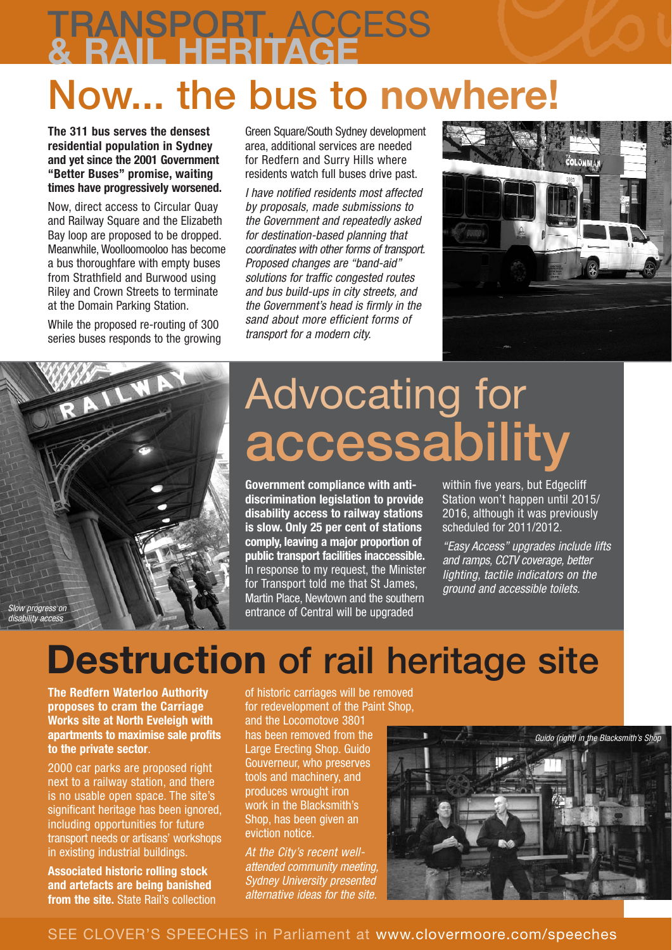# TRANSPORT, ACCESS **& RAIL HERITAGE**

### Now... the bus to **nowhere!**

**The 311 bus serves the densest residential population in Sydney and yet since the 2001 Government "Better Buses" promise, waiting times have progressively worsened.**

Now, direct access to Circular Quay and Railway Square and the Elizabeth Bay loop are proposed to be dropped. Meanwhile, Woolloomooloo has become a bus thoroughfare with empty buses from Strathfield and Burwood using Riley and Crown Streets to terminate at the Domain Parking Station.

While the proposed re-routing of 300 series buses responds to the growing

Green Square/South Sydney development area, additional services are needed for Redfern and Surry Hills where residents watch full buses drive past.

I have notified residents most affected by proposals, made submissions to the Government and repeatedly asked for destination-based planning that coordinates with other forms of transport. Proposed changes are "band-aid" solutions for traffic congested routes and bus build-ups in city streets, and the Government's head is firmly in the sand about more efficient forms of transport for a modern city.





## Advocating for accessability

**Government compliance with antidiscrimination legislation to provide disability access to railway stations is slow. Only 25 per cent of stations comply, leaving a major proportion of public transport facilities inaccessible.** In response to my request, the Minister for Transport told me that St James, Martin Place, Newtown and the southern entrance of Central will be upgraded

within five years, but Edgecliff Station won't happen until 2015/ 2016, although it was previously scheduled for 2011/2012.

"Easy Access" upgrades include lifts and ramps, CCTV coverage, better lighting, tactile indicators on the ground and accessible toilets.

#### **Destruction of rail heritage site**

**The Redfern Waterloo Authority proposes to cram the Carriage Works site at North Eveleigh with apartments to maximise sale profits to the private sector**.

2000 car parks are proposed right next to a railway station, and there is no usable open space. The site's significant heritage has been ignored, including opportunities for future transport needs or artisans' workshops in existing industrial buildings.

**Associated historic rolling stock and artefacts are being banished from the site.** State Rail's collection of historic carriages will be removed for redevelopment of the Paint Shop,

and the Locomotove 3801 has been removed from the Large Erecting Shop. Guido Gouverneur, who preserves tools and machinery, and produces wrought iron work in the Blacksmith's Shop, has been given an eviction notice.

At the City's recent wellattended community meeting, Sydney University presented alternative ideas for the site.



SEE CLOVER'S SPEECHES in Parliament at www.clovermoore.com/speeches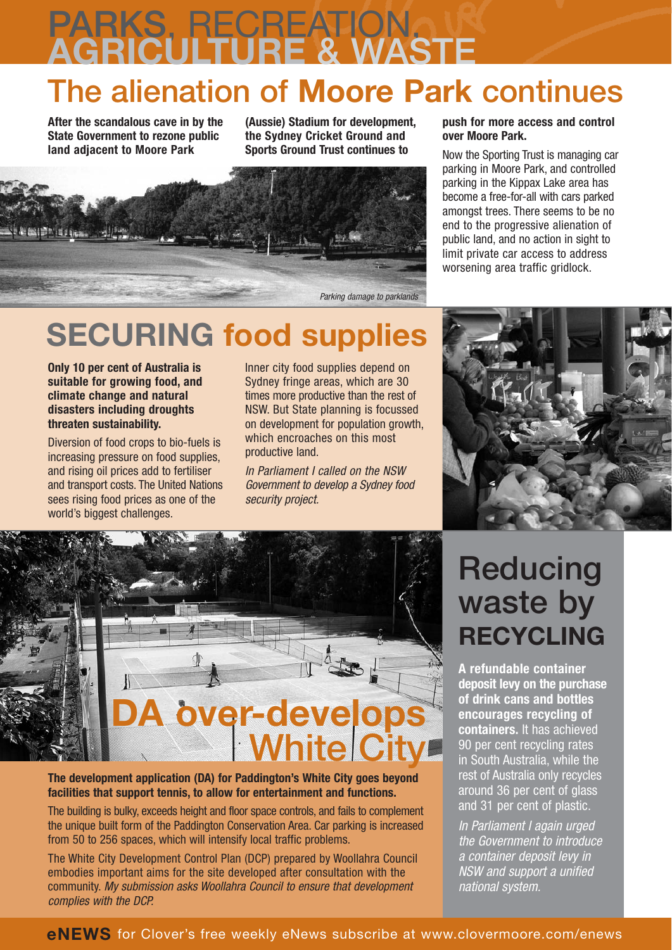# PARKS, RECREATION, **AGRICULTURE** & WASTE

#### The alienation of **Moore Park** continues

**After the scandalous cave in by the State Government to rezone public land adjacent to Moore Park**

**(Aussie) Stadium for development, the Sydney Cricket Ground and Sports Ground Trust continues to**



#### **push for more access and control over Moore Park.**

Now the Sporting Trust is managing car parking in Moore Park, and controlled parking in the Kippax Lake area has become a free-for-all with cars parked amongst trees. There seems to be no end to the progressive alienation of public land, and no action in sight to limit private car access to address worsening area traffic gridlock.

#### **SECURING food supplies**

**Only 10 per cent of Australia is suitable for growing food, and climate change and natural disasters including droughts threaten sustainability.**

Diversion of food crops to bio-fuels is increasing pressure on food supplies, and rising oil prices add to fertiliser and transport costs. The United Nations sees rising food prices as one of the world's biggest challenges.

Inner city food supplies depend on Sydney fringe areas, which are 30 times more productive than the rest of NSW. But State planning is focussed on development for population growth, which encroaches on this most productive land.

In Parliament I called on the NSW Government to develop a Sydney food security project.



#### **The development application (DA) for Paddington's White City goes beyond facilities that support tennis, to allow for entertainment and functions.**

The building is bulky, exceeds height and floor space controls, and fails to complement the unique built form of the Paddington Conservation Area. Car parking is increased from 50 to 256 spaces, which will intensify local traffic problems.

The White City Development Control Plan (DCP) prepared by Woollahra Council embodies important aims for the site developed after consultation with the community. My submission asks Woollahra Council to ensure that development complies with the DCP.

#### **Reducing** waste by **RECYCLING**

**A refundable container deposit levy on the purchase of drink cans and bottles encourages recycling of containers.** It has achieved 90 per cent recycling rates in South Australia, while the rest of Australia only recycles around 36 per cent of glass and 31 per cent of plastic.

In Parliament I again urged the Government to introduce a container deposit levy in NSW and support a unified national system.